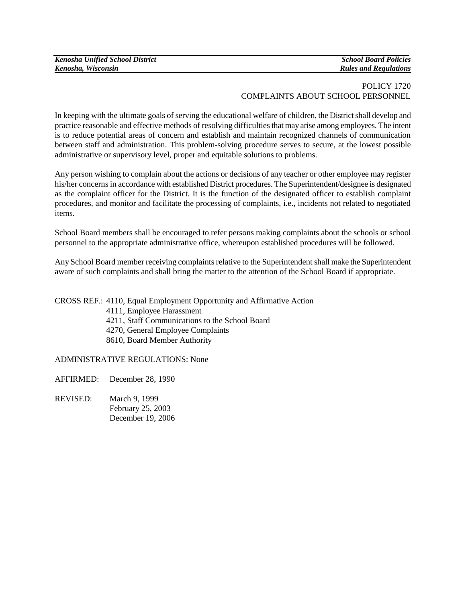## POLICY 1720 COMPLAINTS ABOUT SCHOOL PERSONNEL

In keeping with the ultimate goals of serving the educational welfare of children, the District shall develop and practice reasonable and effective methods of resolving difficulties that may arise among employees. The intent is to reduce potential areas of concern and establish and maintain recognized channels of communication between staff and administration. This problem-solving procedure serves to secure, at the lowest possible administrative or supervisory level, proper and equitable solutions to problems.

Any person wishing to complain about the actions or decisions of any teacher or other employee may register his/her concerns in accordance with established District procedures. The Superintendent/designee is designated as the complaint officer for the District. It is the function of the designated officer to establish complaint procedures, and monitor and facilitate the processing of complaints, i.e., incidents not related to negotiated items.

School Board members shall be encouraged to refer persons making complaints about the schools or school personnel to the appropriate administrative office, whereupon established procedures will be followed.

Any School Board member receiving complaints relative to the Superintendent shall make the Superintendent aware of such complaints and shall bring the matter to the attention of the School Board if appropriate.

CROSS REF.: 4110, Equal Employment Opportunity and Affirmative Action

- 4111, Employee Harassment
- 4211, Staff Communications to the School Board
- 4270, General Employee Complaints
- 8610, Board Member Authority

## ADMINISTRATIVE REGULATIONS: None

- AFFIRMED: December 28, 1990
- REVISED: March 9, 1999 February 25, 2003 December 19, 2006